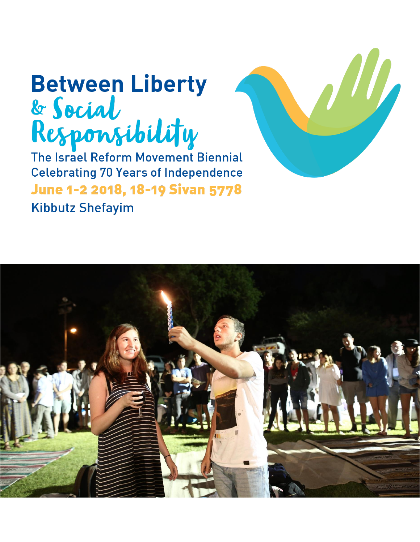# **Between Liberty** & Social<br>Responsibility<br>The Israel Reform Movement Biennial

**Celebrating 70 Years of Independence** June 1-2 2018, 18-19 Sivan 5778 **Kibbutz Shefayim** 

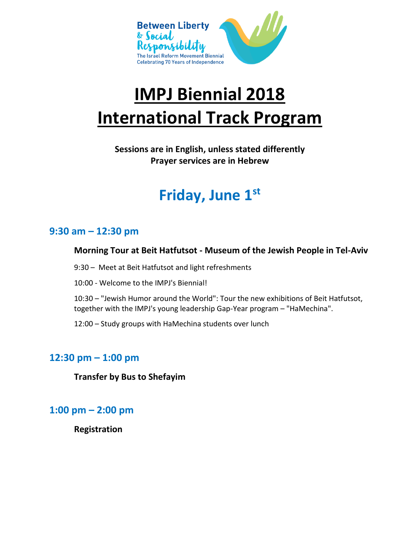

## **IMPJ Biennial 2018 International Track Program**

**Sessions are in English, unless stated differently Prayer services are in Hebrew**

## **Friday, June 1st**

## **9:30 am – 12:30 pm**

#### **Morning Tour at Beit Hatfutsot - Museum of the Jewish People in Tel-Aviv**

- 9:30 Meet at Beit Hatfutsot and light refreshments
- 10:00 Welcome to the IMPJ's Biennial!

10:30 – "Jewish Humor around the World": Tour the new exhibitions of Beit Hatfutsot, together with the IMPJ's young leadership Gap-Year program – "HaMechina".

12:00 – Study groups with HaMechina students over lunch

## **12:30 pm – 1:00 pm**

**Transfer by Bus to Shefayim** 

## **1:00 pm – 2:00 pm**

**Registration**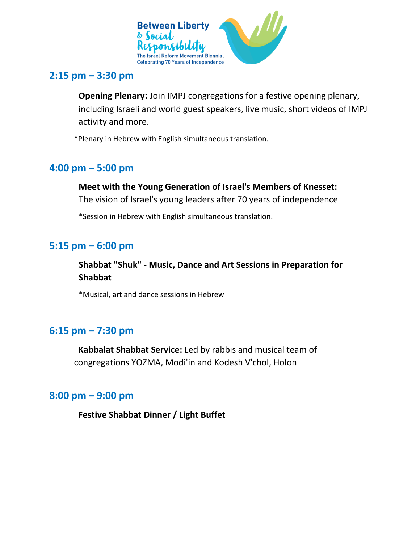

## **2:15 pm – 3:30 pm**

**Opening Plenary:** Join IMPJ congregations for a festive opening plenary, including Israeli and world guest speakers, live music, short videos of IMPJ activity and more.

\*Plenary in Hebrew with English simultaneous translation.

## **4:00 pm – 5:00 pm**

### **Meet with the Young Generation of Israel's Members of Knesset:**

The vision of Israel's young leaders after 70 years of independence

\*Session in Hebrew with English simultaneous translation.

## **5:15 pm – 6:00 pm**

## **Shabbat "Shuk" - Music, Dance and Art Sessions in Preparation for Shabbat**

\*Musical, art and dance sessions in Hebrew

## **6:15 pm – 7:30 pm**

 **Kabbalat Shabbat Service:** Led by rabbis and musical team of congregations YOZMA, Modi'in and Kodesh V'chol, Holon

## **8:00 pm – 9:00 pm**

 **Festive Shabbat Dinner / Light Buffet**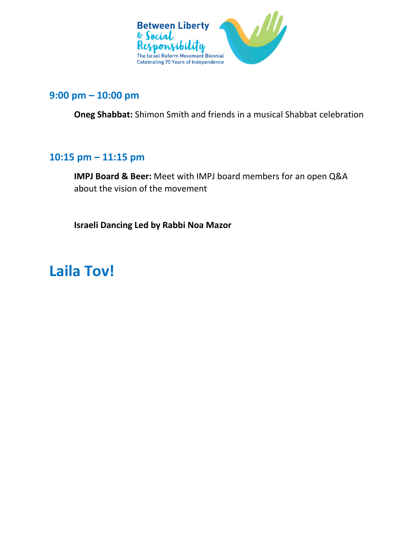

## **9:00 pm – 10:00 pm**

**Oneg Shabbat:** Shimon Smith and friends in a musical Shabbat celebration

## **10:15 pm – 11:15 pm**

**IMPJ Board & Beer:** Meet with IMPJ board members for an open Q&A about the vision of the movement

**Israeli Dancing Led by Rabbi Noa Mazor**

## **Laila Tov!**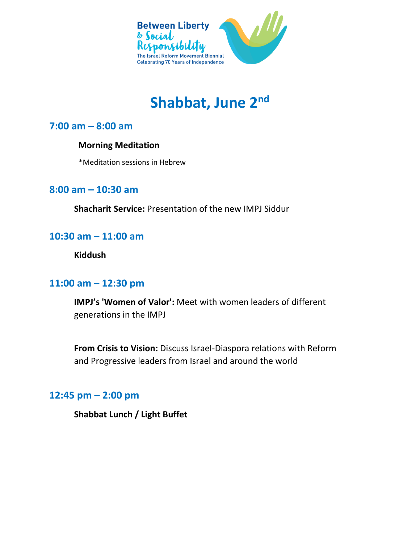

## **Shabbat, June 2nd**

## **7:00 am – 8:00 am**

#### **Morning Meditation**

\*Meditation sessions in Hebrew

## **8:00 am – 10:30 am**

**Shacharit Service:** Presentation of the new IMPJ Siddur

## **10:30 am – 11:00 am**

**Kiddush**

## **11:00 am – 12:30 pm**

**IMPJ's 'Women of Valor':** Meet with women leaders of different generations in the IMPJ

**From Crisis to Vision:** Discuss Israel-Diaspora relations with Reform and Progressive leaders from Israel and around the world

### **12:45 pm – 2:00 pm**

**Shabbat Lunch / Light Buffet**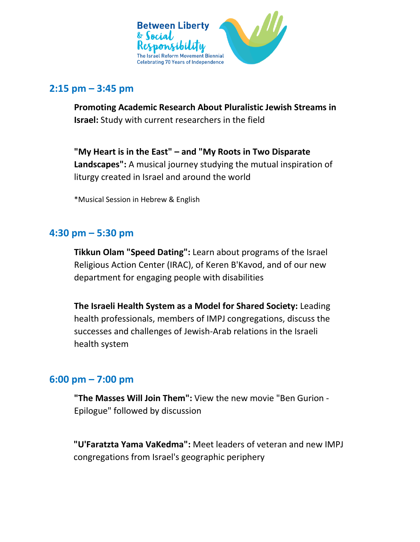

## **2:15 pm – 3:45 pm**

**Promoting Academic Research About Pluralistic Jewish Streams in Israel:** Study with current researchers in the field

**"My Heart is in the East" – and "My Roots in Two Disparate Landscapes":** A musical journey studying the mutual inspiration of liturgy created in Israel and around the world

\*Musical Session in Hebrew & English

## **4:30 pm – 5:30 pm**

**Tikkun Olam "Speed Dating":** Learn about programs of the Israel Religious Action Center (IRAC), of Keren B'Kavod, and of our new department for engaging people with disabilities

**The Israeli Health System as a Model for Shared Society:** Leading health professionals, members of IMPJ congregations, discuss the successes and challenges of Jewish-Arab relations in the Israeli health system

## **6:00 pm – 7:00 pm**

**"The Masses Will Join Them":** View the new movie "Ben Gurion - Epilogue" followed by discussion

**"U'Faratzta Yama VaKedma":** Meet leaders of veteran and new IMPJ congregations from Israel's geographic periphery